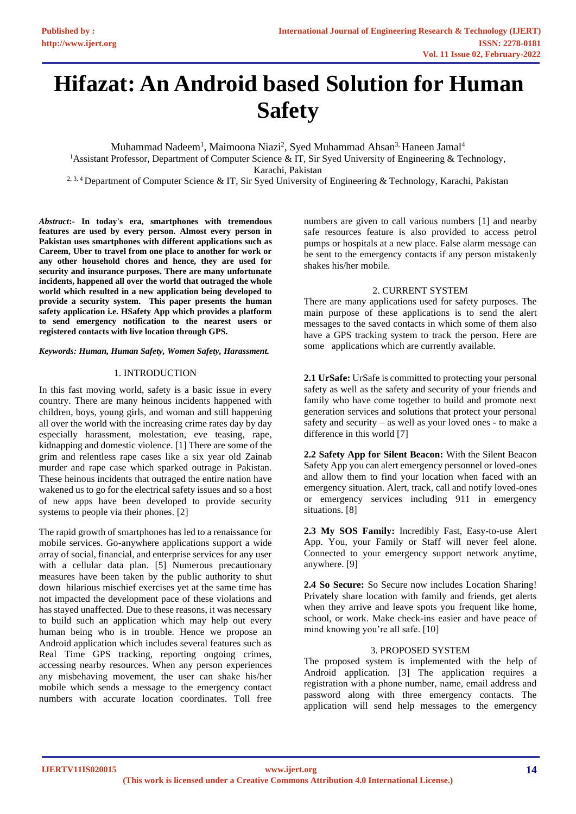# **Hifazat: An Android based Solution for Human Safety**

Muhammad Nadeem<sup>1</sup>, Maimoona Niazi<sup>2</sup>, Syed Muhammad Ahsan<sup>3,</sup> Haneen Jamal<sup>4</sup> <sup>1</sup>Assistant Professor, Department of Computer Science & IT, Sir Syed University of Engineering & Technology, Karachi, Pakistan

<sup>2, 3, 4</sup> Department of Computer Science & IT, Sir Syed University of Engineering & Technology, Karachi, Pakistan

*Abstract***:- In today's era, smartphones with tremendous features are used by every person. Almost every person in Pakistan uses smartphones with different applications such as Careem, Uber to travel from one place to another for work or any other household chores and hence, they are used for security and insurance purposes. There are many unfortunate incidents, happened all over the world that outraged the whole world which resulted in a new application being developed to provide a security system. This paper presents the human safety application i.e. HSafety App which provides a platform to send emergency notification to the nearest users or registered contacts with live location through GPS.** 

## *Keywords: Human, Human Safety, Women Safety, Harassment.*

## 1. INTRODUCTION

In this fast moving world, safety is a basic issue in every country. There are many heinous incidents happened with children, boys, young girls, and woman and still happening all over the world with the increasing crime rates day by day especially harassment, molestation, eve teasing, rape, kidnapping and domestic violence. [1] There are some of the grim and relentless rape cases like a six year old Zainab murder and rape case which sparked outrage in Pakistan. These heinous incidents that outraged the entire nation have wakened us to go for the electrical safety issues and so a host of new apps have been developed to provide security systems to people via their phones. [2]

The rapid growth of smartphones has led to a renaissance for mobile services. Go-anywhere applications support a wide array of social, financial, and enterprise services for any user with a cellular data plan. [5] Numerous precautionary measures have been taken by the public authority to shut down hilarious mischief exercises yet at the same time has not impacted the development pace of these violations and has stayed unaffected. Due to these reasons, it was necessary to build such an application which may help out every human being who is in trouble. Hence we propose an Android application which includes several features such as Real Time GPS tracking, reporting ongoing crimes, accessing nearby resources. When any person experiences any misbehaving movement, the user can shake his/her mobile which sends a message to the emergency contact numbers with accurate location coordinates. Toll free

numbers are given to call various numbers [1] and nearby safe resources feature is also provided to access petrol pumps or hospitals at a new place. False alarm message can be sent to the emergency contacts if any person mistakenly shakes his/her mobile.

## 2. CURRENT SYSTEM

There are many applications used for safety purposes. The main purpose of these applications is to send the alert messages to the saved contacts in which some of them also have a GPS tracking system to track the person. Here are some applications which are currently available.

**2.1 UrSafe:** UrSafe is committed to protecting your personal safety as well as the safety and security of your friends and family who have come together to build and promote next generation services and solutions that protect your personal safety and security – as well as your loved ones - to make a difference in this world [7]

**2.2 Safety App for Silent Beacon:** With the Silent Beacon Safety App you can alert emergency personnel or loved-ones and allow them to find your location when faced with an emergency situation. Alert, track, call and notify loved-ones or emergency services including 911 in emergency situations. [8]

**2.3 My SOS Family:** Incredibly Fast, Easy-to-use Alert App. You, your Family or Staff will never feel alone. Connected to your emergency support network anytime, anywhere. [9]

**2.4 So Secure:** So Secure now includes Location Sharing! Privately share location with family and friends, get alerts when they arrive and leave spots you frequent like home, school, or work. Make check-ins easier and have peace of mind knowing you're all safe. [10]

## 3. PROPOSED SYSTEM

The proposed system is implemented with the help of Android application. [3] The application requires a registration with a phone number, name, email address and password along with three emergency contacts. The application will send help messages to the emergency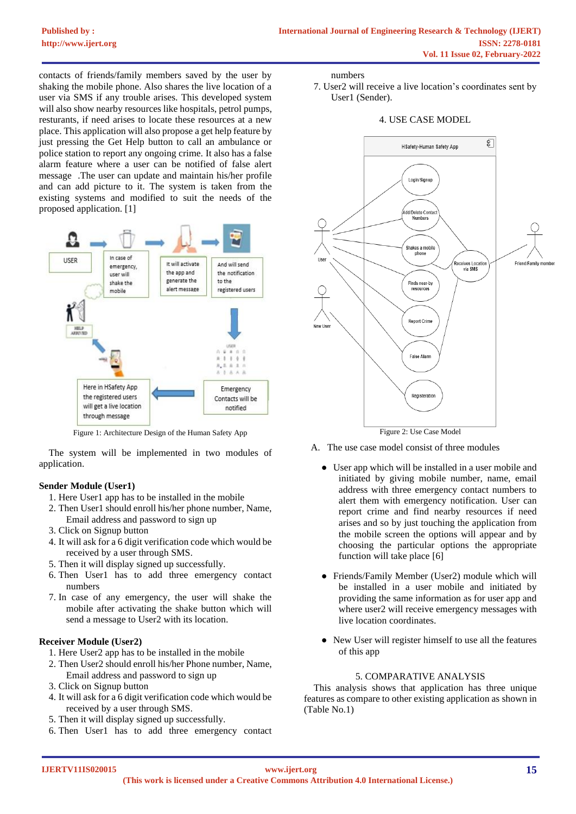contacts of friends/family members saved by the user by shaking the mobile phone. Also shares the live location of a user via SMS if any trouble arises. This developed system will also show nearby resources like hospitals, petrol pumps, resturants, if need arises to locate these resources at a new place. This application will also propose a get help feature by just pressing the Get Help button to call an ambulance or police station to report any ongoing crime. It also has a false alarm feature where a user can be notified of false alert message .The user can update and maintain his/her profile and can add picture to it. The system is taken from the existing systems and modified to suit the needs of the proposed application. [1]



Figure 1: Architecture Design of the Human Safety App

The system will be implemented in two modules of application.

## **Sender Module (User1)**

- 1. Here User1 app has to be installed in the mobile
- 2. Then User1 should enroll his/her phone number, Name, Email address and password to sign up
- 3. Click on Signup button
- 4. It will ask for a 6 digit verification code which would be received by a user through SMS.
- 5. Then it will display signed up successfully.
- 6. Then User1 has to add three emergency contact numbers
- 7. In case of any emergency, the user will shake the mobile after activating the shake button which will send a message to User2 with its location.

## **Receiver Module (User2)**

- 1. Here User2 app has to be installed in the mobile
- 2. Then User2 should enroll his/her Phone number, Name, Email address and password to sign up
- 3. Click on Signup button
- 4. It will ask for a 6 digit verification code which would be received by a user through SMS.
- 5. Then it will display signed up successfully.
- 6. Then User1 has to add three emergency contact

numbers

7. User2 will receive a live location's coordinates sent by User1 (Sender).

#### 4. USE CASE MODEL



Figure 2: Use Case Model

- A. The use case model consist of three modules
	- User app which will be installed in a user mobile and initiated by giving mobile number, name, email address with three emergency contact numbers to alert them with emergency notification. User can report crime and find nearby resources if need arises and so by just touching the application from the mobile screen the options will appear and by choosing the particular options the appropriate function will take place [6]
	- Friends/Family Member (User2) module which will be installed in a user mobile and initiated by providing the same information as for user app and where user2 will receive emergency messages with live location coordinates.
	- New User will register himself to use all the features of this app

## 5. COMPARATIVE ANALYSIS

This analysis shows that application has three unique features as compare to other existing application as shown in (Table No.1)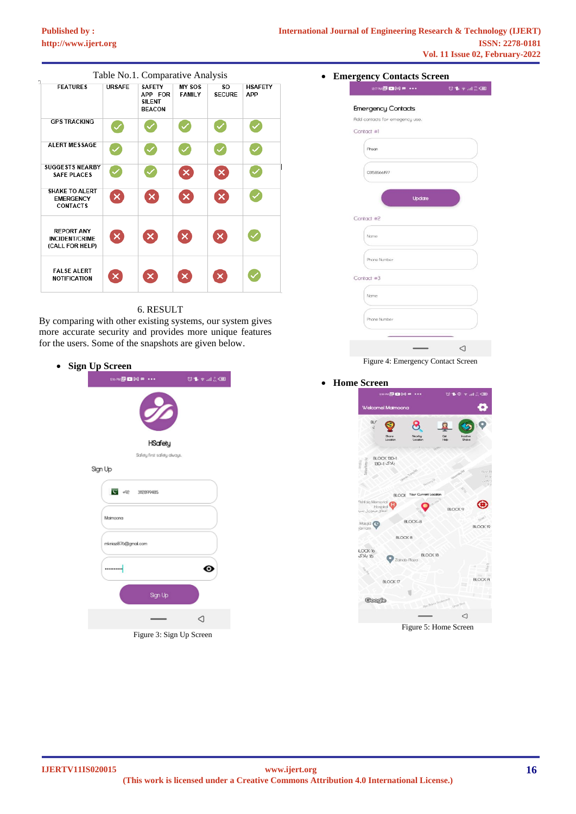## **[Published by :](www.ijert.org)**



## 6. RESULT

By comparing with other existing systems, our system gives more accurate security and provides more unique features for the users. Some of the snapshots are given below.

|  | <b>Sign Up Screen</b> |                     |                             |        |  |
|--|-----------------------|---------------------|-----------------------------|--------|--|
|  |                       |                     | 26N回国网 → → →                | 受事を調査圏 |  |
|  |                       |                     |                             |        |  |
|  |                       |                     | <b>HSafety</b>              |        |  |
|  |                       |                     | Safety first safety always. |        |  |
|  |                       | Sign Up             |                             |        |  |
|  |                       | $9 + 48$            | 312899485                   |        |  |
|  |                       | Mamoona             |                             |        |  |
|  |                       | micrice876@gmal.com |                             |        |  |
|  |                       |                     |                             | ⊚      |  |
|  |                       |                     | Sign Up                     |        |  |
|  |                       |                     |                             | ◁      |  |
|  |                       |                     | Figure 3: Sign Up Screen    |        |  |

| <b>27 PM回回图 = •••</b>          | <b>ひもゃ川県画</b> |
|--------------------------------|---------------|
| <b>Emergency Contacts</b>      |               |
| Add contacts for emegency use. |               |
| Contact #1                     |               |
| Phson                          |               |
|                                |               |
| 03158566197                    |               |
|                                |               |
| Update                         |               |
|                                |               |
| Contact #2                     |               |
| Name                           |               |
|                                |               |
| Phone Number                   |               |
|                                |               |
| Contact #3                     |               |
| Name                           |               |
|                                |               |
| Phone Number                   |               |
|                                |               |
|                                |               |

## • **Home Screen**



Figure 5: Home Screen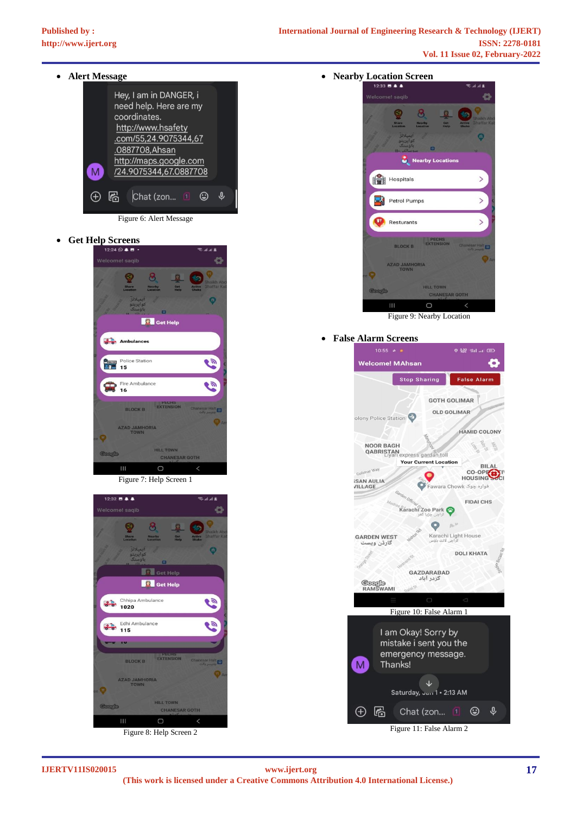

• **Get Help Screens**







Figure 8: Help Screen 2

• **Nearby Location Screen**



Figure 9: Nearby Location

## • **False Alarm Screens**